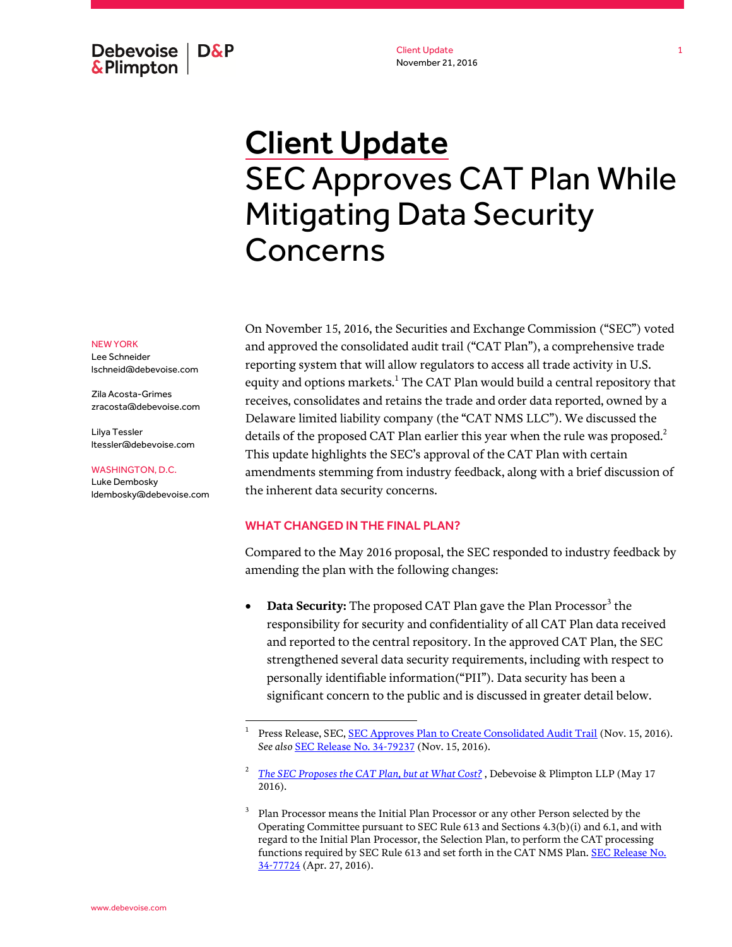Debevoise  $\overline{ }$  D&P **&Plimpton** 

Client Update November 21, 2016

# Client Update SEC Approves CAT Plan While Mitigating Data Security Concerns

NEW YORK

Lee Schneider lschneid@debevoise.com

Zila Acosta-Grimes zracosta@debevoise.com

Lilya Tessler ltessler@debevoise.com

#### WASHINGTON, D.C.

Luke Dembosky ldembosky@debevoise.com

 $\overline{a}$ 

On November 15, 2016, the Securities and Exchange Commission ("SEC") voted and approved the consolidated audit trail ("CAT Plan"), a comprehensive trade reporting system that will allow regulators to access all trade activity in U.S. equity and options markets. $^{\rm 1}$  The CAT Plan would build a central repository that receives, consolidates and retains the trade and order data reported, owned by a Delaware limited liability company (the "CAT NMS LLC"). We discussed the details of the proposed CAT Plan earlier this year when the rule was proposed. $^2$ This update highlights the SEC's approval of the CAT Plan with certain amendments stemming from industry feedback, along with a brief discussion of the inherent data security concerns.

# WHAT CHANGED IN THE FINAL PLAN?

Compared to the May 2016 proposal, the SEC responded to industry feedback by amending the plan with the following changes:

• Data Security: The proposed CAT Plan gave the Plan Processor<sup>3</sup> the responsibility for security and confidentiality of all CAT Plan data received and reported to the central repository. In the approved CAT Plan, the SEC strengthened several data security requirements, including with respect to personally identifiable information("PII"). Data security has been a significant concern to the public and is discussed in greater detail below.

<sup>1</sup> Press Release, SEC[, SEC Approves Plan to Create Consolidated Audit Trail](https://www.sec.gov/news/pressrelease/2016-240.html) (Nov. 15, 2016). *See also* [SEC Release No. 34-79237](https://www.sec.gov/rules/interim/2016/34-79237.pdf) (Nov. 15, 2016).

<sup>2</sup> *[The SEC Proposes the CAT Plan, but at What Cost?](http://www.debevoise.com/~/media/files/insights/publications/2016/05/20160517b_the_sec_propose_%20the_cat_plan_but_at_what_cost.pdf)* , Debevoise & Plimpton LLP (May 17 2016).

<sup>3</sup> Plan Processor means the Initial Plan Processor or any other Person selected by the Operating Committee pursuant to SEC Rule 613 and Sections 4.3(b)(i) and 6.1, and with regard to the Initial Plan Processor, the Selection Plan, to perform the CAT processing functions required by SEC Rule 613 and set forth in the CAT NMS Plan[. SEC Release No.](https://www.sec.gov/rules/sro/nms/2016/34-77724.pdf)  [34-77724](https://www.sec.gov/rules/sro/nms/2016/34-77724.pdf) (Apr. 27, 2016).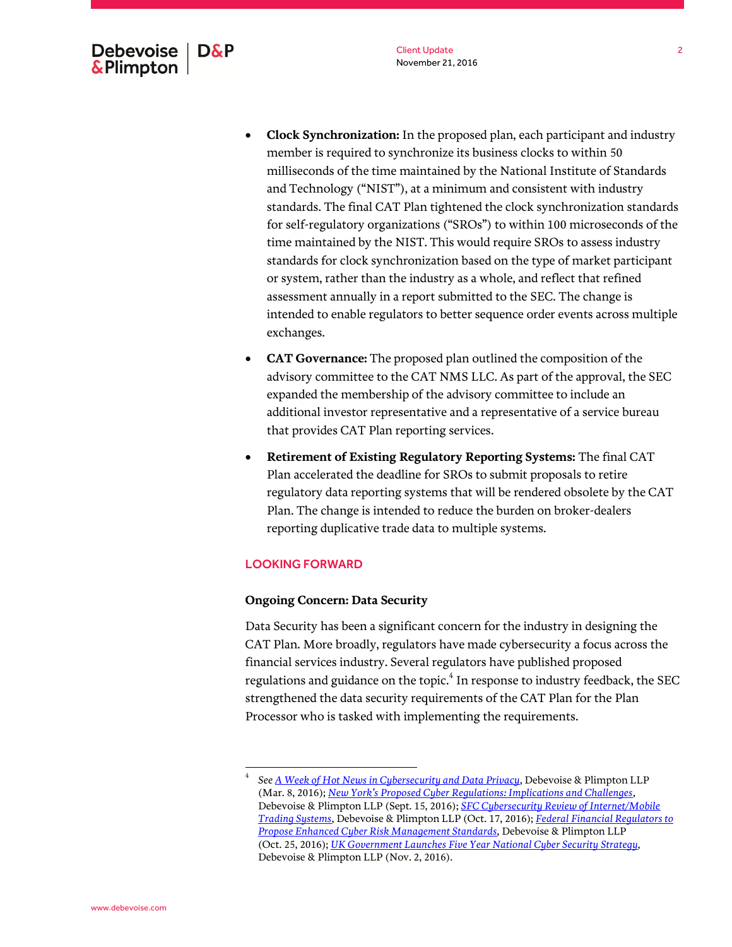- **Clock Synchronization:** In the proposed plan, each participant and industry member is required to synchronize its business clocks to within 50 milliseconds of the time maintained by the National Institute of Standards and Technology ("NIST"), at a minimum and consistent with industry standards. The final CAT Plan tightened the clock synchronization standards for self-regulatory organizations ("SROs") to within 100 microseconds of the time maintained by the NIST. This would require SROs to assess industry standards for clock synchronization based on the type of market participant or system, rather than the industry as a whole, and reflect that refined assessment annually in a report submitted to the SEC. The change is intended to enable regulators to better sequence order events across multiple exchanges.
- **CAT Governance:** The proposed plan outlined the composition of the advisory committee to the CAT NMS LLC. As part of the approval, the SEC expanded the membership of the advisory committee to include an additional investor representative and a representative of a service bureau that provides CAT Plan reporting services.
- **Retirement of Existing Regulatory Reporting Systems:** The final CAT Plan accelerated the deadline for SROs to submit proposals to retire regulatory data reporting systems that will be rendered obsolete by the CAT Plan. The change is intended to reduce the burden on broker-dealers reporting duplicative trade data to multiple systems.

# LOOKING FORWARD

 $\overline{a}$ 

### **Ongoing Concern: Data Security**

Data Security has been a significant concern for the industry in designing the CAT Plan. More broadly, regulators have made cybersecurity a focus across the financial services industry. Several regulators have published proposed regulations and guidance on the topic. $\rm ^4$  In response to industry feedback, the SEC strengthened the data security requirements of the CAT Plan for the Plan Processor who is tasked with implementing the requirements.

<sup>4</sup> *Se[e A Week of Hot News in Cybersecurity and Data Privacy](http://www.debevoise.com/~/media/files/insights/publications/2016/03/20160308a_a_week_of_hot_news_in_cybersecurity.pdf)*, Debevoise & Plimpton LLP (Mar. 8, 2016); *[New York's Proposed Cyber Regulations: Implications and Challenges](http://www.debevoise.com/~/media/files/insights/publications/2016/09/20160915d_new%20yorks_proposed_cyber_regulations_implications_and_challenges.pdf)*, Debevoise & Plimpton LLP (Sept. 15, 2016); *[SFC Cybersecurity Review of Internet/Mobile](http://www.debevoise.com/~/media/20161017c_sfc_cybersecruity_review_of_internetmobile_trading_systems.pdf)  [Trading Systems](http://www.debevoise.com/~/media/20161017c_sfc_cybersecruity_review_of_internetmobile_trading_systems.pdf)*, Debevoise & Plimpton LLP (Oct. 17, 2016); *[Federal Financial Regulators to](http://www.debevoise.com/~/media/files/insights/publications/2016/10/20161025_federal_financial_regulators_to_propose_enhanced_cyber_risk_management_standards.pdf)  [Propose Enhanced Cyber Risk Management Standards,](http://www.debevoise.com/~/media/files/insights/publications/2016/10/20161025_federal_financial_regulators_to_propose_enhanced_cyber_risk_management_standards.pdf)* Debevoise & Plimpton LLP (Oct. 25, 2016); *[UK Government Launches Five Year National Cyber Security Strategy](http://www.debevoise.com/~/media/files/insights/publications/2016/11/20161102_uk_government_launches_five_year_national_cyber_security_strategy.pdf)*, Debevoise & Plimpton LLP (Nov. 2, 2016).